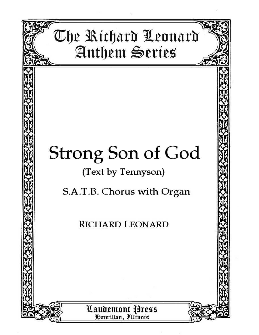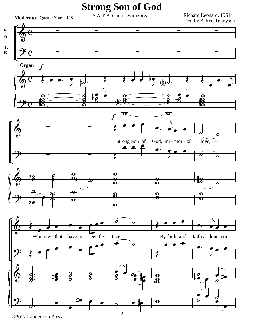## **Strong Son of God**

**Moderato** Quarter Note =  $128$ 

S.A.T.B. Chorus with Organ

Richard Leonard, 1961 Text by Alfred Tennyson

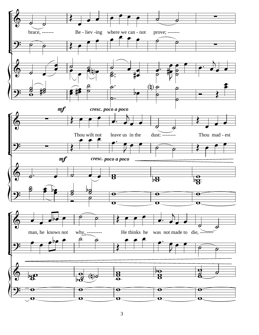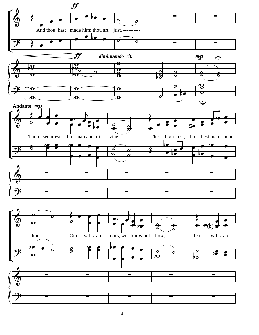

 $\overline{4}$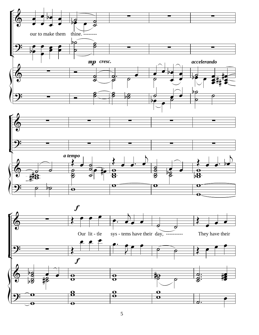

 $\overline{5}$